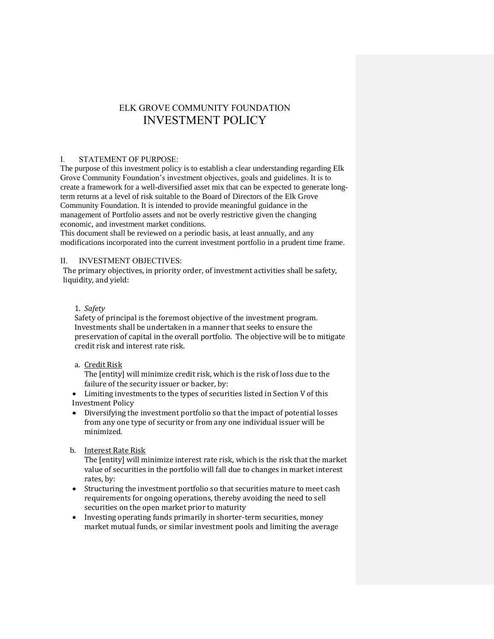# ELK GROVE COMMUNITY FOUNDATION INVESTMENT POLICY

# I. STATEMENT OF PURPOSE:

The purpose of this investment policy is to establish a clear understanding regarding Elk Grove Community Foundation's investment objectives, goals and guidelines. It is to create a framework for a well-diversified asset mix that can be expected to generate longterm returns at a level of risk suitable to the Board of Directors of the Elk Grove Community Foundation. It is intended to provide meaningful guidance in the management of Portfolio assets and not be overly restrictive given the changing economic, and investment market conditions.

This document shall be reviewed on a periodic basis, at least annually, and any modifications incorporated into the current investment portfolio in a prudent time frame.

# II. INVESTMENT OBJECTIVES:

The primary objectives, in priority order, of investment activities shall be safety, liquidity, and yield:

# 1. *Safety*

Safety of principal is the foremost objective of the investment program. Investments shall be undertaken in a manner that seeks to ensure the preservation of capital in the overall portfolio. The objective will be to mitigate credit risk and interest rate risk.

# a. Credit Risk

The [entity] will minimize credit risk, which is the risk of loss due to the failure of the security issuer or backer, by:

 Limiting investments to the types of securities listed in Section V of this Investment Policy

- Diversifying the investment portfolio so that the impact of potential losses from any one type of security or from any one individual issuer will be minimized.
- b. Interest Rate Risk

The [entity] will minimize interest rate risk, which is the risk that the market value of securities in the portfolio will fall due to changes in market interest rates, by:

- Structuring the investment portfolio so that securities mature to meet cash requirements for ongoing operations, thereby avoiding the need to sell securities on the open market prior to maturity
- Investing operating funds primarily in shorter-term securities, money market mutual funds, or similar investment pools and limiting the average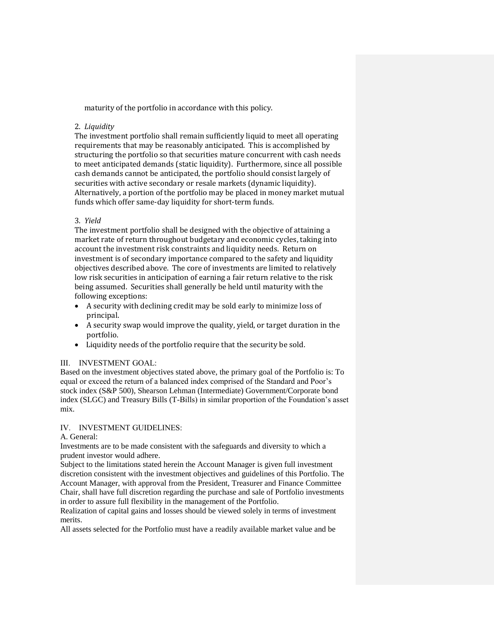maturity of the portfolio in accordance with this policy.

## 2. *Liquidity*

The investment portfolio shall remain sufficiently liquid to meet all operating requirements that may be reasonably anticipated. This is accomplished by structuring the portfolio so that securities mature concurrent with cash needs to meet anticipated demands (static liquidity). Furthermore, since all possible cash demands cannot be anticipated, the portfolio should consist largely of securities with active secondary or resale markets (dynamic liquidity). Alternatively, a portion of the portfolio may be placed in money market mutual funds which offer same-day liquidity for short-term funds.

# 3. *Yield*

The investment portfolio shall be designed with the objective of attaining a market rate of return throughout budgetary and economic cycles, taking into account the investment risk constraints and liquidity needs. Return on investment is of secondary importance compared to the safety and liquidity objectives described above. The core of investments are limited to relatively low risk securities in anticipation of earning a fair return relative to the risk being assumed. Securities shall generally be held until maturity with the following exceptions:

- A security with declining credit may be sold early to minimize loss of principal.
- A security swap would improve the quality, yield, or target duration in the portfolio.
- Liquidity needs of the portfolio require that the security be sold.

# III. INVESTMENT GOAL:

Based on the investment objectives stated above, the primary goal of the Portfolio is: To equal or exceed the return of a balanced index comprised of the Standard and Poor's stock index (S&P 500), Shearson Lehman (Intermediate) Government/Corporate bond index (SLGC) and Treasury Bills (T-Bills) in similar proportion of the Foundation's asset mix.

# IV. INVESTMENT GUIDELINES:

### A. General:

Investments are to be made consistent with the safeguards and diversity to which a prudent investor would adhere.

Subject to the limitations stated herein the Account Manager is given full investment discretion consistent with the investment objectives and guidelines of this Portfolio. The Account Manager, with approval from the President, Treasurer and Finance Committee Chair, shall have full discretion regarding the purchase and sale of Portfolio investments in order to assure full flexibility in the management of the Portfolio.

Realization of capital gains and losses should be viewed solely in terms of investment merits.

All assets selected for the Portfolio must have a readily available market value and be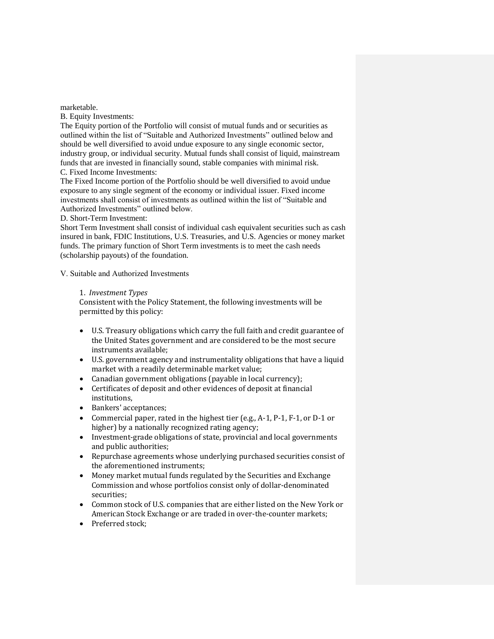marketable.

B. Equity Investments:

The Equity portion of the Portfolio will consist of mutual funds and or securities as outlined within the list of "Suitable and Authorized Investments" outlined below and should be well diversified to avoid undue exposure to any single economic sector, industry group, or individual security. Mutual funds shall consist of liquid, mainstream funds that are invested in financially sound, stable companies with minimal risk. C. Fixed Income Investments:

The Fixed Income portion of the Portfolio should be well diversified to avoid undue exposure to any single segment of the economy or individual issuer. Fixed income investments shall consist of investments as outlined within the list of "Suitable and Authorized Investments" outlined below.

# D. Short-Term Investment:

Short Term Investment shall consist of individual cash equivalent securities such as cash insured in bank, FDIC Institutions, U.S. Treasuries, and U.S. Agencies or money market funds. The primary function of Short Term investments is to meet the cash needs (scholarship payouts) of the foundation.

V. Suitable and Authorized Investments

# 1. *Investment Types*

Consistent with the Policy Statement, the following investments will be permitted by this policy:

- U.S. Treasury obligations which carry the full faith and credit guarantee of the United States government and are considered to be the most secure instruments available;
- U.S. government agency and instrumentality obligations that have a liquid market with a readily determinable market value;
- Canadian government obligations (payable in local currency);
- Certificates of deposit and other evidences of deposit at financial institutions,
- Bankers' acceptances;
- Commercial paper, rated in the highest tier (e.g., A-1, P-1, F-1, or D-1 or higher) by a nationally recognized rating agency;
- Investment-grade obligations of state, provincial and local governments and public authorities;
- Repurchase agreements whose underlying purchased securities consist of the aforementioned instruments;
- Money market mutual funds regulated by the Securities and Exchange Commission and whose portfolios consist only of dollar-denominated securities;
- Common stock of U.S. companies that are either listed on the New York or American Stock Exchange or are traded in over-the-counter markets;
- Preferred stock;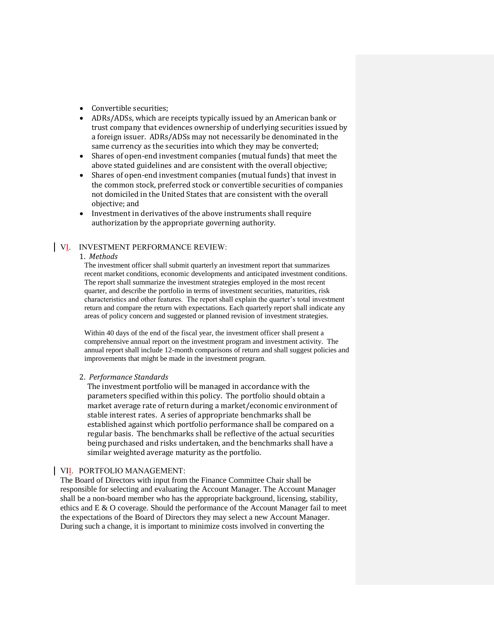- Convertible securities:
- ADRs/ADSs, which are receipts typically issued by an American bank or trust company that evidences ownership of underlying securities issued by a foreign issuer. ADRs/ADSs may not necessarily be denominated in the same currency as the securities into which they may be converted;
- Shares of open-end investment companies (mutual funds) that meet the above stated guidelines and are consistent with the overall objective;
- Shares of open-end investment companies (mutual funds) that invest in the common stock, preferred stock or convertible securities of companies not domiciled in the United States that are consistent with the overall objective; and
- Investment in derivatives of the above instruments shall require authorization by the appropriate governing authority.

### VI. INVESTMENT PERFORMANCE REVIEW:

#### 1. *Methods*

The investment officer shall submit quarterly an investment report that summarizes recent market conditions, economic developments and anticipated investment conditions. The report shall summarize the investment strategies employed in the most recent quarter, and describe the portfolio in terms of investment securities, maturities, risk characteristics and other features. The report shall explain the quarter's total investment return and compare the return with expectations. Each quarterly report shall indicate any areas of policy concern and suggested or planned revision of investment strategies.

Within 40 days of the end of the fiscal year, the investment officer shall present a comprehensive annual report on the investment program and investment activity. The annual report shall include 12-month comparisons of return and shall suggest policies and improvements that might be made in the investment program.

#### 2. *Performance Standards*

The investment portfolio will be managed in accordance with the parameters specified within this policy. The portfolio should obtain a market average rate of return during a market/economic environment of stable interest rates. A series of appropriate benchmarks shall be established against which portfolio performance shall be compared on a regular basis. The benchmarks shall be reflective of the actual securities being purchased and risks undertaken, and the benchmarks shall have a similar weighted average maturity as the portfolio.

## VII. PORTFOLIO MANAGEMENT:

The Board of Directors with input from the Finance Committee Chair shall be responsible for selecting and evaluating the Account Manager. The Account Manager shall be a non-board member who has the appropriate background, licensing, stability, ethics and E & O coverage. Should the performance of the Account Manager fail to meet the expectations of the Board of Directors they may select a new Account Manager. During such a change, it is important to minimize costs involved in converting the